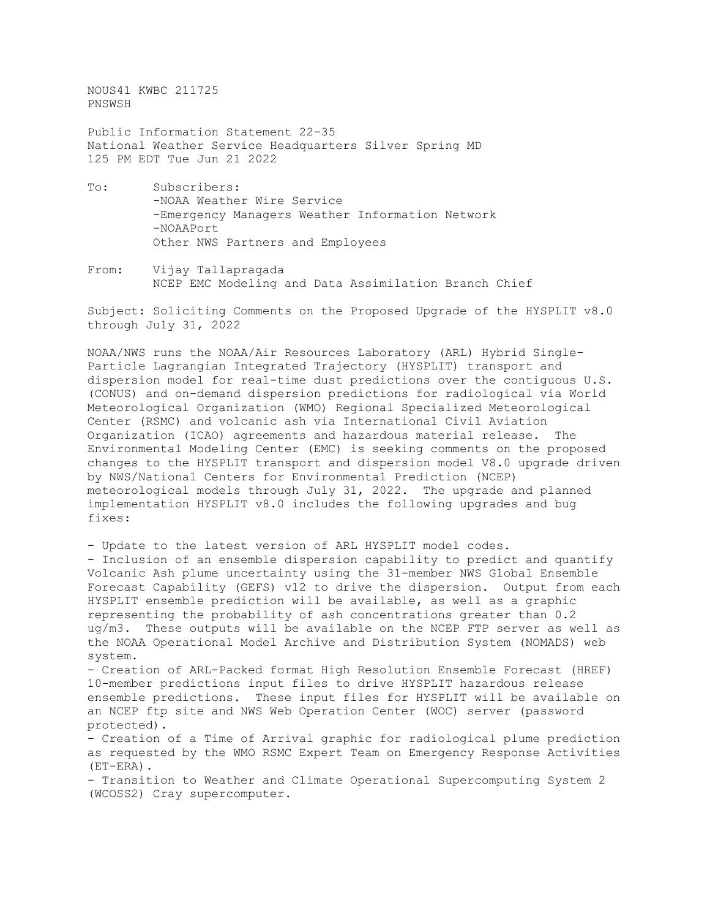NOUS41 KWBC 211725 PNSWSH

Public Information Statement 22-35 National Weather Service Headquarters Silver Spring MD 125 PM EDT Tue Jun 21 2022

- To: Subscribers: -NOAA Weather Wire Service -Emergency Managers Weather Information Network -NOAAPort Other NWS Partners and Employees
- From: Vijay Tallapragada NCEP EMC Modeling and Data Assimilation Branch Chief

Subject: Soliciting Comments on the Proposed Upgrade of the HYSPLIT v8.0 through July 31, 2022

NOAA/NWS runs the NOAA/Air Resources Laboratory (ARL) Hybrid Single-Particle Lagrangian Integrated Trajectory (HYSPLIT) transport and dispersion model for real-time dust predictions over the contiguous U.S. (CONUS) and on-demand dispersion predictions for radiological via World Meteorological Organization (WMO) Regional Specialized Meteorological Center (RSMC) and volcanic ash via International Civil Aviation Organization (ICAO) agreements and hazardous material release. The Environmental Modeling Center (EMC) is seeking comments on the proposed changes to the HYSPLIT transport and dispersion model V8.0 upgrade driven by NWS/National Centers for Environmental Prediction (NCEP) meteorological models through July 31, 2022. The upgrade and planned implementation HYSPLIT v8.0 includes the following upgrades and bug fixes:

- Update to the latest version of ARL HYSPLIT model codes.

- Inclusion of an ensemble dispersion capability to predict and quantify Volcanic Ash plume uncertainty using the 31-member NWS Global Ensemble Forecast Capability (GEFS) v12 to drive the dispersion. Output from each HYSPLIT ensemble prediction will be available, as well as a graphic representing the probability of ash concentrations greater than 0.2 ug/m3. These outputs will be available on the NCEP FTP server as well as the NOAA Operational Model Archive and Distribution System (NOMADS) web system.

- Creation of ARL-Packed format High Resolution Ensemble Forecast (HREF) 10-member predictions input files to drive HYSPLIT hazardous release ensemble predictions. These input files for HYSPLIT will be available on an NCEP ftp site and NWS Web Operation Center (WOC) server (password protected).

- Creation of a Time of Arrival graphic for radiological plume prediction as requested by the WMO RSMC Expert Team on Emergency Response Activities (ET-ERA).

- Transition to Weather and Climate Operational Supercomputing System 2 (WCOSS2) Cray supercomputer.